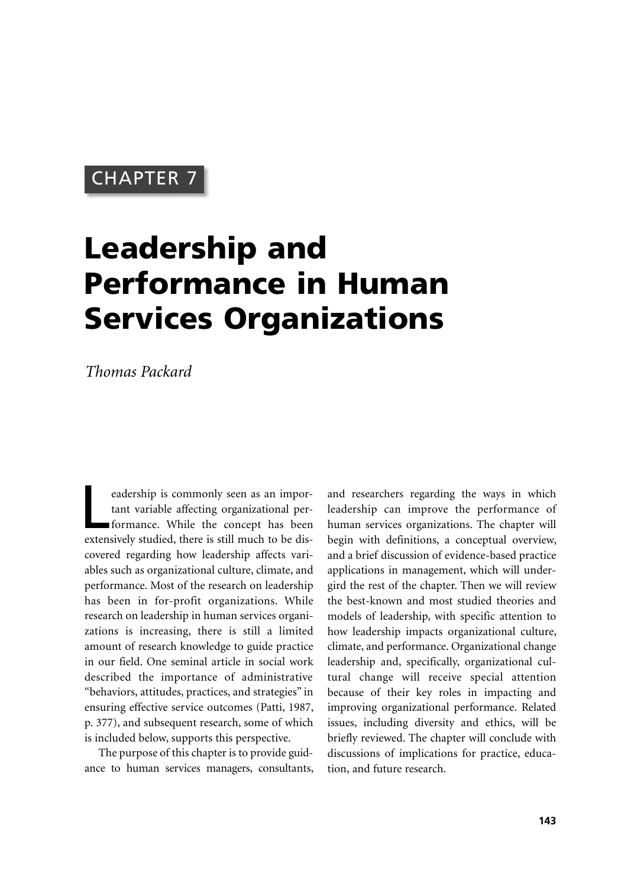## CHAPTER 7

# **Leadership and Performance in Human Services Organizations**

*Thomas Packard*

eadership is commonly seen as an impor-<br>tant variable affecting organizational per-<br>formance. While the concept has been<br>extensively studied there is still much to be distant variable affecting organizational performance. While the concept has been extensively studied, there is still much to be discovered regarding how leadership affects variables such as organizational culture, climate, and performance. Most of the research on leadership has been in for-profit organizations. While research on leadership in human services organizations is increasing, there is still a limited amount of research knowledge to guide practice in our field. One seminal article in social work described the importance of administrative "behaviors, attitudes, practices, and strategies" in ensuring effective service outcomes (Patti, 1987, p. 377), and subsequent research, some of which is included below, supports this perspective.

The purpose of this chapter is to provide guidance to human services managers, consultants,

and researchers regarding the ways in which leadership can improve the performance of human services organizations. The chapter will begin with definitions, a conceptual overview, and a brief discussion of evidence-based practice applications in management, which will undergird the rest of the chapter. Then we will review the best-known and most studied theories and models of leadership, with specific attention to how leadership impacts organizational culture, climate, and performance. Organizational change leadership and, specifically, organizational cultural change will receive special attention because of their key roles in impacting and improving organizational performance. Related issues, including diversity and ethics, will be briefly reviewed. The chapter will conclude with discussions of implications for practice, education, and future research.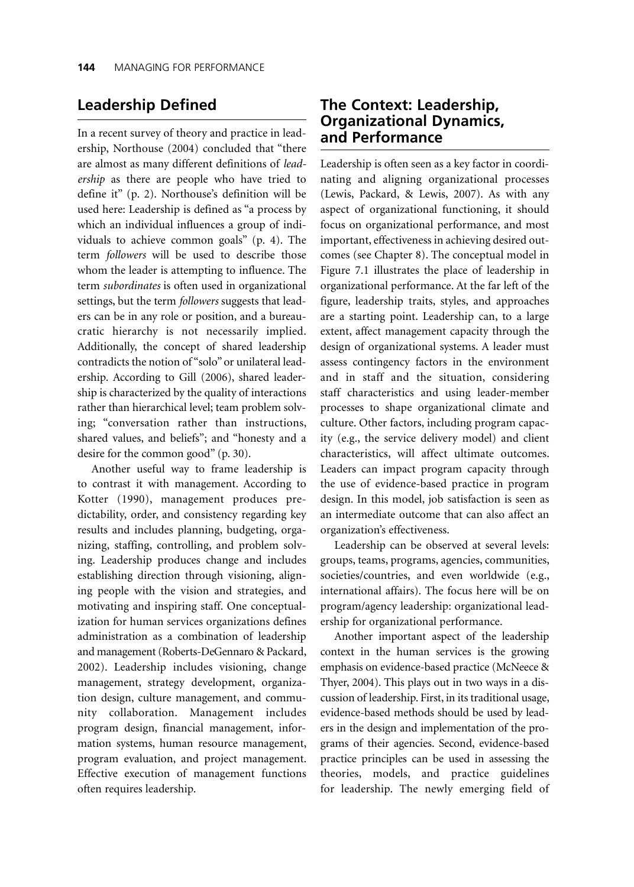## **Leadership Defined**

In a recent survey of theory and practice in leadership, Northouse (2004) concluded that "there are almost as many different definitions of *leadership* as there are people who have tried to define it" (p. 2). Northouse's definition will be used here: Leadership is defined as "a process by which an individual influences a group of individuals to achieve common goals" (p. 4). The term *followers* will be used to describe those whom the leader is attempting to influence. The term *subordinates* is often used in organizational settings, but the term *followers* suggests that leaders can be in any role or position, and a bureaucratic hierarchy is not necessarily implied. Additionally, the concept of shared leadership contradicts the notion of "solo" or unilateral leadership. According to Gill (2006), shared leadership is characterized by the quality of interactions rather than hierarchical level; team problem solving; "conversation rather than instructions, shared values, and beliefs"; and "honesty and a desire for the common good" (p. 30).

Another useful way to frame leadership is to contrast it with management. According to Kotter (1990), management produces predictability, order, and consistency regarding key results and includes planning, budgeting, organizing, staffing, controlling, and problem solving. Leadership produces change and includes establishing direction through visioning, aligning people with the vision and strategies, and motivating and inspiring staff. One conceptualization for human services organizations defines administration as a combination of leadership and management (Roberts-DeGennaro & Packard, 2002). Leadership includes visioning, change management, strategy development, organization design, culture management, and community collaboration. Management includes program design, financial management, information systems, human resource management, program evaluation, and project management. Effective execution of management functions often requires leadership.

## **The Context: Leadership, Organizational Dynamics, and Performance**

Leadership is often seen as a key factor in coordinating and aligning organizational processes (Lewis, Packard, & Lewis, 2007). As with any aspect of organizational functioning, it should focus on organizational performance, and most important, effectiveness in achieving desired outcomes (see Chapter 8). The conceptual model in Figure 7.1 illustrates the place of leadership in organizational performance. At the far left of the figure, leadership traits, styles, and approaches are a starting point. Leadership can, to a large extent, affect management capacity through the design of organizational systems. A leader must assess contingency factors in the environment and in staff and the situation, considering staff characteristics and using leader-member processes to shape organizational climate and culture. Other factors, including program capacity (e.g., the service delivery model) and client characteristics, will affect ultimate outcomes. Leaders can impact program capacity through the use of evidence-based practice in program design. In this model, job satisfaction is seen as an intermediate outcome that can also affect an organization's effectiveness.

Leadership can be observed at several levels: groups, teams, programs, agencies, communities, societies/countries, and even worldwide (e.g., international affairs). The focus here will be on program/agency leadership: organizational leadership for organizational performance.

Another important aspect of the leadership context in the human services is the growing emphasis on evidence-based practice (McNeece & Thyer, 2004). This plays out in two ways in a discussion of leadership. First, in its traditional usage, evidence-based methods should be used by leaders in the design and implementation of the programs of their agencies. Second, evidence-based practice principles can be used in assessing the theories, models, and practice guidelines for leadership. The newly emerging field of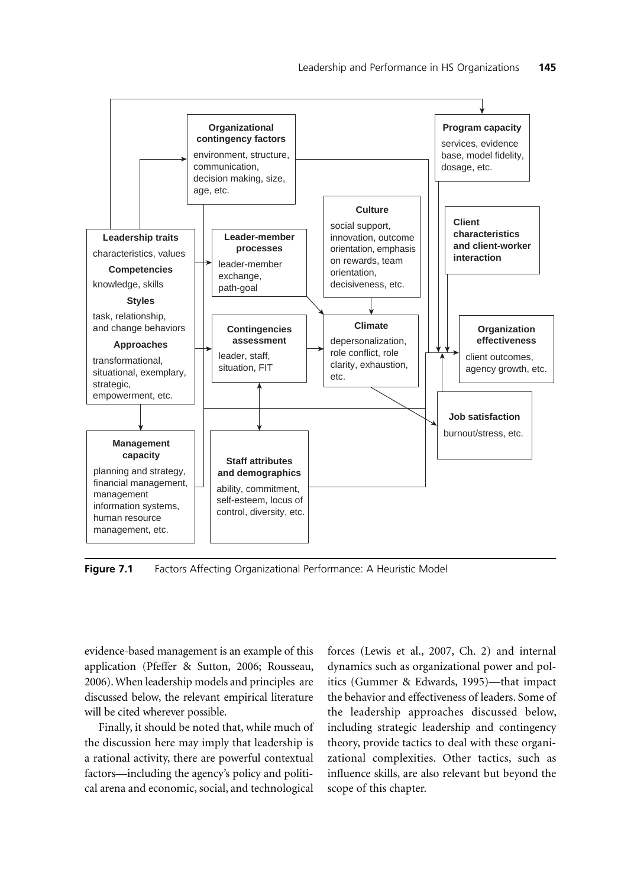

Figure 7.1 Factors Affecting Organizational Performance: A Heuristic Model

evidence-based management is an example of this application (Pfeffer & Sutton, 2006; Rousseau, 2006). When leadership models and principles are discussed below, the relevant empirical literature will be cited wherever possible.

Finally, it should be noted that, while much of the discussion here may imply that leadership is a rational activity, there are powerful contextual factors—including the agency's policy and political arena and economic, social, and technological forces (Lewis et al., 2007, Ch. 2) and internal dynamics such as organizational power and politics (Gummer & Edwards, 1995)—that impact the behavior and effectiveness of leaders. Some of the leadership approaches discussed below, including strategic leadership and contingency theory, provide tactics to deal with these organizational complexities. Other tactics, such as influence skills, are also relevant but beyond the scope of this chapter.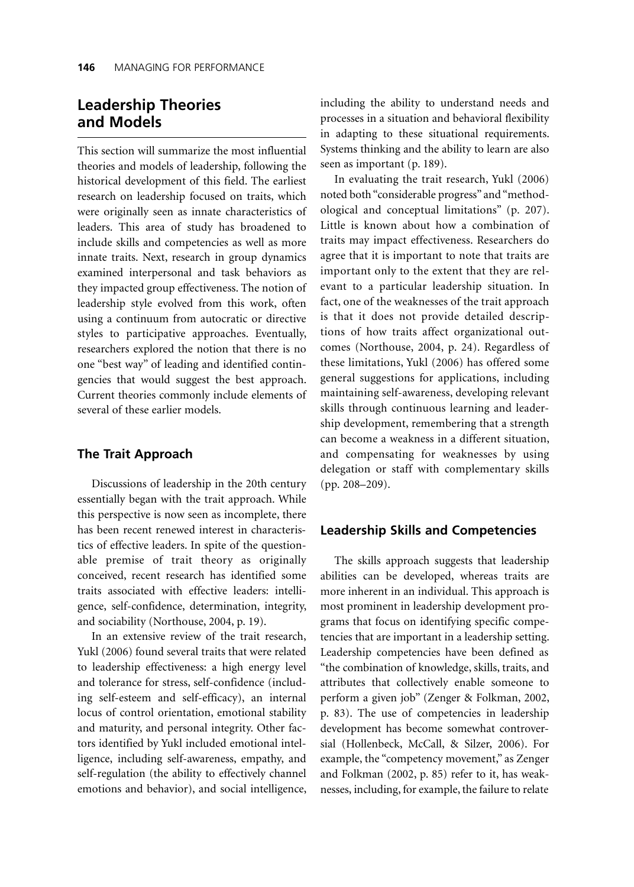## **Leadership Theories and Models**

This section will summarize the most influential theories and models of leadership, following the historical development of this field. The earliest research on leadership focused on traits, which were originally seen as innate characteristics of leaders. This area of study has broadened to include skills and competencies as well as more innate traits. Next, research in group dynamics examined interpersonal and task behaviors as they impacted group effectiveness. The notion of leadership style evolved from this work, often using a continuum from autocratic or directive styles to participative approaches. Eventually, researchers explored the notion that there is no one "best way" of leading and identified contingencies that would suggest the best approach. Current theories commonly include elements of several of these earlier models.

#### **The Trait Approach**

Discussions of leadership in the 20th century essentially began with the trait approach. While this perspective is now seen as incomplete, there has been recent renewed interest in characteristics of effective leaders. In spite of the questionable premise of trait theory as originally conceived, recent research has identified some traits associated with effective leaders: intelligence, self-confidence, determination, integrity, and sociability (Northouse, 2004, p. 19).

In an extensive review of the trait research, Yukl (2006) found several traits that were related to leadership effectiveness: a high energy level and tolerance for stress, self-confidence (including self-esteem and self-efficacy), an internal locus of control orientation, emotional stability and maturity, and personal integrity. Other factors identified by Yukl included emotional intelligence, including self-awareness, empathy, and self-regulation (the ability to effectively channel emotions and behavior), and social intelligence, including the ability to understand needs and processes in a situation and behavioral flexibility in adapting to these situational requirements. Systems thinking and the ability to learn are also seen as important (p. 189).

In evaluating the trait research, Yukl (2006) noted both "considerable progress" and "methodological and conceptual limitations" (p. 207). Little is known about how a combination of traits may impact effectiveness. Researchers do agree that it is important to note that traits are important only to the extent that they are relevant to a particular leadership situation. In fact, one of the weaknesses of the trait approach is that it does not provide detailed descriptions of how traits affect organizational outcomes (Northouse, 2004, p. 24). Regardless of these limitations, Yukl (2006) has offered some general suggestions for applications, including maintaining self-awareness, developing relevant skills through continuous learning and leadership development, remembering that a strength can become a weakness in a different situation, and compensating for weaknesses by using delegation or staff with complementary skills (pp. 208–209).

#### **Leadership Skills and Competencies**

The skills approach suggests that leadership abilities can be developed, whereas traits are more inherent in an individual. This approach is most prominent in leadership development programs that focus on identifying specific competencies that are important in a leadership setting. Leadership competencies have been defined as "the combination of knowledge, skills, traits, and attributes that collectively enable someone to perform a given job" (Zenger & Folkman, 2002, p. 83). The use of competencies in leadership development has become somewhat controversial (Hollenbeck, McCall, & Silzer, 2006). For example, the "competency movement," as Zenger and Folkman (2002, p. 85) refer to it, has weaknesses, including, for example, the failure to relate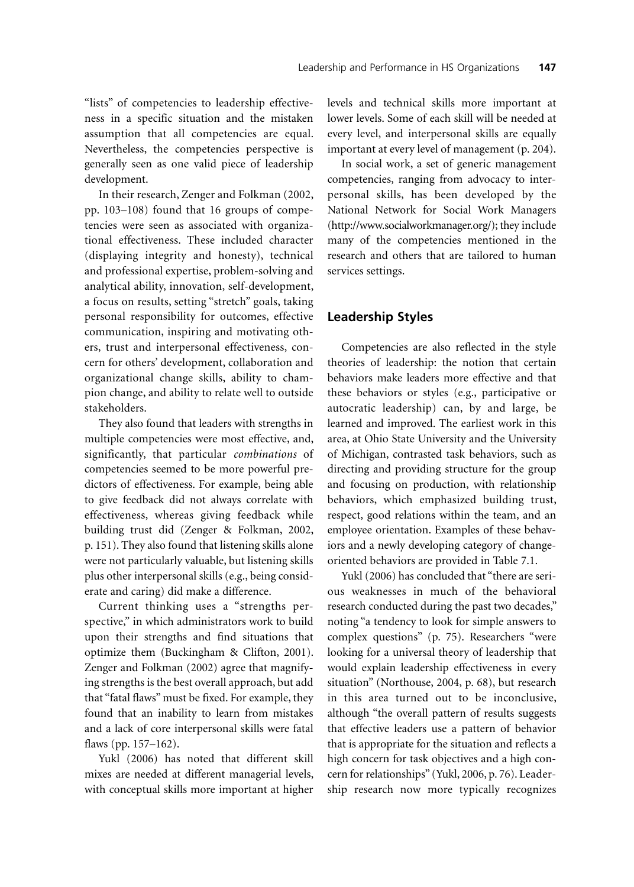"lists" of competencies to leadership effectiveness in a specific situation and the mistaken assumption that all competencies are equal. Nevertheless, the competencies perspective is generally seen as one valid piece of leadership development.

In their research, Zenger and Folkman (2002, pp. 103–108) found that 16 groups of competencies were seen as associated with organizational effectiveness. These included character (displaying integrity and honesty), technical and professional expertise, problem-solving and analytical ability, innovation, self-development, a focus on results, setting "stretch" goals, taking personal responsibility for outcomes, effective communication, inspiring and motivating others, trust and interpersonal effectiveness, concern for others' development, collaboration and organizational change skills, ability to champion change, and ability to relate well to outside stakeholders.

They also found that leaders with strengths in multiple competencies were most effective, and, significantly, that particular *combinations* of competencies seemed to be more powerful predictors of effectiveness. For example, being able to give feedback did not always correlate with effectiveness, whereas giving feedback while building trust did (Zenger & Folkman, 2002, p. 151). They also found that listening skills alone were not particularly valuable, but listening skills plus other interpersonal skills (e.g., being considerate and caring) did make a difference.

Current thinking uses a "strengths perspective," in which administrators work to build upon their strengths and find situations that optimize them (Buckingham & Clifton, 2001). Zenger and Folkman (2002) agree that magnifying strengths is the best overall approach, but add that "fatal flaws" must be fixed. For example, they found that an inability to learn from mistakes and a lack of core interpersonal skills were fatal flaws (pp. 157–162).

Yukl (2006) has noted that different skill mixes are needed at different managerial levels, with conceptual skills more important at higher levels and technical skills more important at lower levels. Some of each skill will be needed at every level, and interpersonal skills are equally important at every level of management (p. 204).

In social work, a set of generic management competencies, ranging from advocacy to interpersonal skills, has been developed by the National Network for Social Work Managers (http://www.socialworkmanager.org/); they include many of the competencies mentioned in the research and others that are tailored to human services settings.

#### **Leadership Styles**

Competencies are also reflected in the style theories of leadership: the notion that certain behaviors make leaders more effective and that these behaviors or styles (e.g., participative or autocratic leadership) can, by and large, be learned and improved. The earliest work in this area, at Ohio State University and the University of Michigan, contrasted task behaviors, such as directing and providing structure for the group and focusing on production, with relationship behaviors, which emphasized building trust, respect, good relations within the team, and an employee orientation. Examples of these behaviors and a newly developing category of changeoriented behaviors are provided in Table 7.1.

Yukl (2006) has concluded that "there are serious weaknesses in much of the behavioral research conducted during the past two decades," noting "a tendency to look for simple answers to complex questions" (p. 75). Researchers "were looking for a universal theory of leadership that would explain leadership effectiveness in every situation" (Northouse, 2004, p. 68), but research in this area turned out to be inconclusive, although "the overall pattern of results suggests that effective leaders use a pattern of behavior that is appropriate for the situation and reflects a high concern for task objectives and a high concern for relationships" (Yukl, 2006, p. 76). Leadership research now more typically recognizes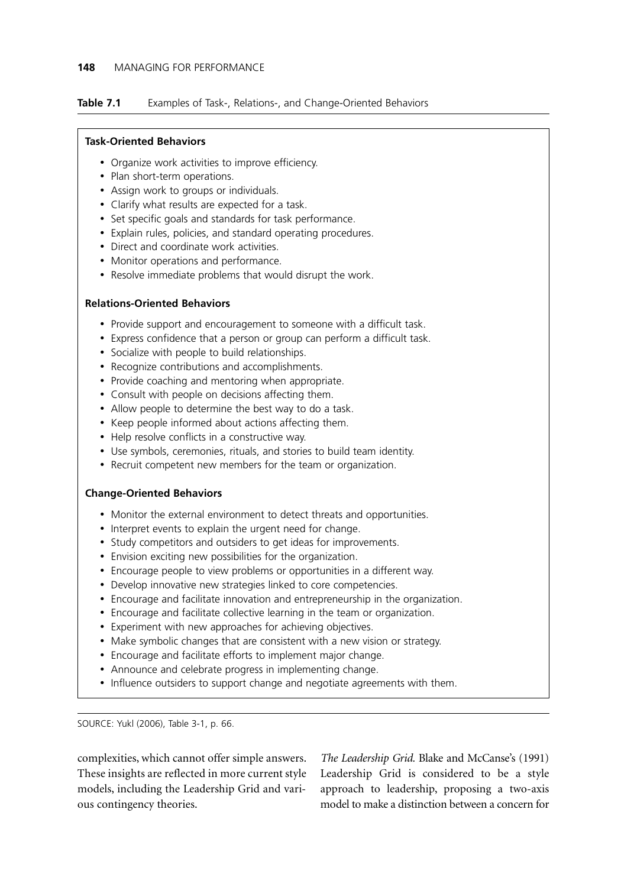#### **Table 7.1** Examples of Task-, Relations-, and Change-Oriented Behaviors

#### **Task-Oriented Behaviors**

- Organize work activities to improve efficiency.
- Plan short-term operations.
- Assign work to groups or individuals.
- Clarify what results are expected for a task.
- Set specific goals and standards for task performance.
- Explain rules, policies, and standard operating procedures.
- Direct and coordinate work activities.
- Monitor operations and performance.
- Resolve immediate problems that would disrupt the work.

#### **Relations-Oriented Behaviors**

- Provide support and encouragement to someone with a difficult task.
- Express confidence that a person or group can perform a difficult task.
- Socialize with people to build relationships.
- Recognize contributions and accomplishments.
- Provide coaching and mentoring when appropriate.
- Consult with people on decisions affecting them.
- Allow people to determine the best way to do a task.
- Keep people informed about actions affecting them.
- Help resolve conflicts in a constructive way.
- Use symbols, ceremonies, rituals, and stories to build team identity.
- Recruit competent new members for the team or organization.

#### **Change-Oriented Behaviors**

- Monitor the external environment to detect threats and opportunities.
- Interpret events to explain the urgent need for change.
- Study competitors and outsiders to get ideas for improvements.
- Envision exciting new possibilities for the organization.
- Encourage people to view problems or opportunities in a different way.
- Develop innovative new strategies linked to core competencies.
- Encourage and facilitate innovation and entrepreneurship in the organization.
- Encourage and facilitate collective learning in the team or organization.
- Experiment with new approaches for achieving objectives.
- Make symbolic changes that are consistent with a new vision or strategy.
- Encourage and facilitate efforts to implement major change.
- Announce and celebrate progress in implementing change.
- Influence outsiders to support change and negotiate agreements with them.

SOURCE: Yukl (2006), Table 3-1, p. 66.

complexities, which cannot offer simple answers. These insights are reflected in more current style models, including the Leadership Grid and various contingency theories.

*The Leadership Grid.* Blake and McCanse's (1991) Leadership Grid is considered to be a style approach to leadership, proposing a two-axis model to make a distinction between a concern for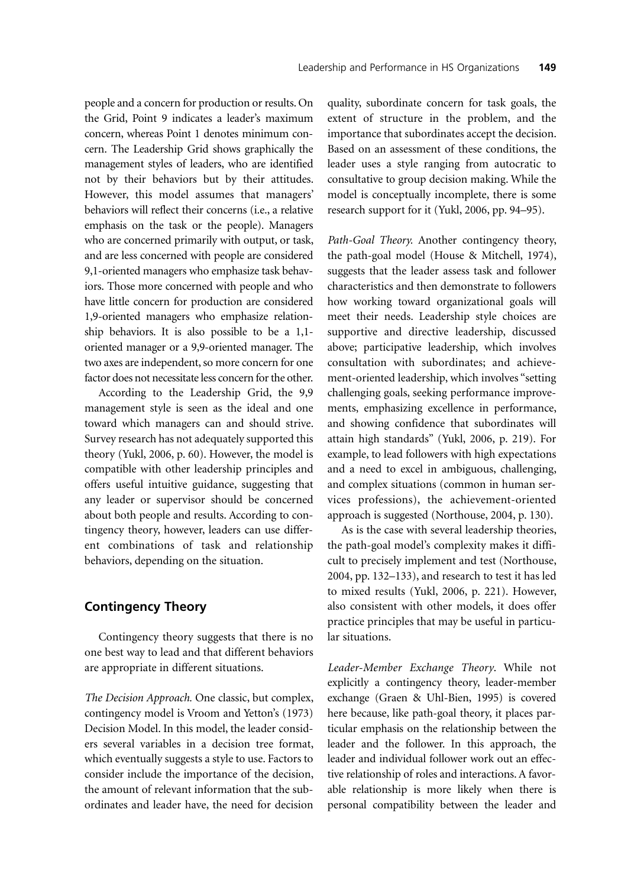people and a concern for production or results. On the Grid, Point 9 indicates a leader's maximum concern, whereas Point 1 denotes minimum concern. The Leadership Grid shows graphically the management styles of leaders, who are identified not by their behaviors but by their attitudes. However, this model assumes that managers' behaviors will reflect their concerns (i.e., a relative emphasis on the task or the people). Managers who are concerned primarily with output, or task, and are less concerned with people are considered 9,1-oriented managers who emphasize task behaviors. Those more concerned with people and who have little concern for production are considered 1,9-oriented managers who emphasize relationship behaviors. It is also possible to be a 1,1 oriented manager or a 9,9-oriented manager. The two axes are independent, so more concern for one factor does not necessitate less concern for the other.

According to the Leadership Grid, the 9,9 management style is seen as the ideal and one toward which managers can and should strive. Survey research has not adequately supported this theory (Yukl, 2006, p. 60). However, the model is compatible with other leadership principles and offers useful intuitive guidance, suggesting that any leader or supervisor should be concerned about both people and results. According to contingency theory, however, leaders can use different combinations of task and relationship behaviors, depending on the situation.

#### **Contingency Theory**

Contingency theory suggests that there is no one best way to lead and that different behaviors are appropriate in different situations.

*The Decision Approach.* One classic, but complex, contingency model is Vroom and Yetton's (1973) Decision Model. In this model, the leader considers several variables in a decision tree format, which eventually suggests a style to use. Factors to consider include the importance of the decision, the amount of relevant information that the subordinates and leader have, the need for decision

quality, subordinate concern for task goals, the extent of structure in the problem, and the importance that subordinates accept the decision. Based on an assessment of these conditions, the leader uses a style ranging from autocratic to consultative to group decision making. While the model is conceptually incomplete, there is some research support for it (Yukl, 2006, pp. 94–95).

*Path-Goal Theory.* Another contingency theory, the path-goal model (House & Mitchell, 1974), suggests that the leader assess task and follower characteristics and then demonstrate to followers how working toward organizational goals will meet their needs. Leadership style choices are supportive and directive leadership, discussed above; participative leadership, which involves consultation with subordinates; and achievement-oriented leadership, which involves "setting challenging goals, seeking performance improvements, emphasizing excellence in performance, and showing confidence that subordinates will attain high standards" (Yukl, 2006, p. 219). For example, to lead followers with high expectations and a need to excel in ambiguous, challenging, and complex situations (common in human services professions), the achievement-oriented approach is suggested (Northouse, 2004, p. 130).

As is the case with several leadership theories, the path-goal model's complexity makes it difficult to precisely implement and test (Northouse, 2004, pp. 132–133), and research to test it has led to mixed results (Yukl, 2006, p. 221). However, also consistent with other models, it does offer practice principles that may be useful in particular situations.

*Leader-Member Exchange Theory*. While not explicitly a contingency theory, leader-member exchange (Graen & Uhl-Bien, 1995) is covered here because, like path-goal theory, it places particular emphasis on the relationship between the leader and the follower. In this approach, the leader and individual follower work out an effective relationship of roles and interactions. A favorable relationship is more likely when there is personal compatibility between the leader and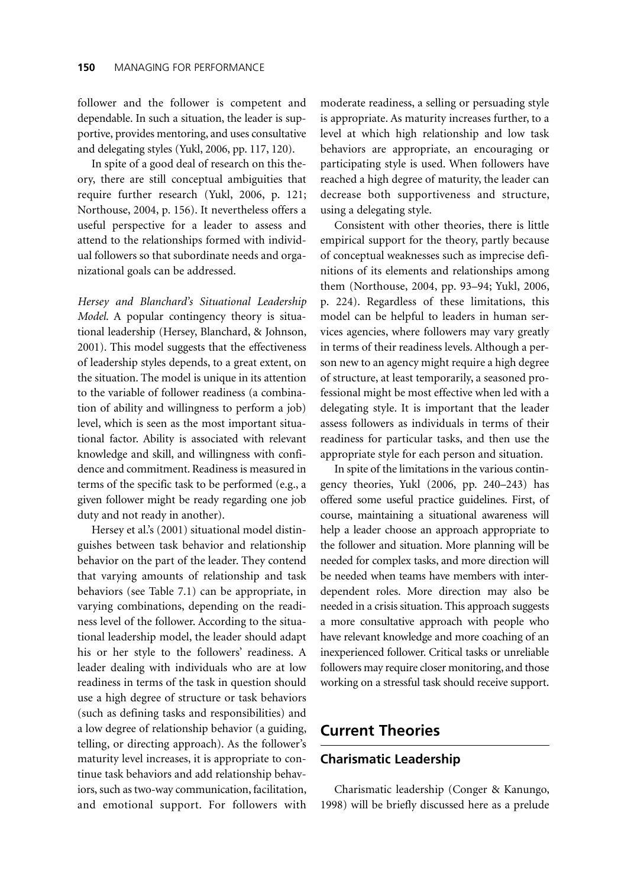follower and the follower is competent and dependable. In such a situation, the leader is supportive, provides mentoring, and uses consultative and delegating styles (Yukl, 2006, pp. 117, 120).

In spite of a good deal of research on this theory, there are still conceptual ambiguities that require further research (Yukl, 2006, p. 121; Northouse, 2004, p. 156). It nevertheless offers a useful perspective for a leader to assess and attend to the relationships formed with individual followers so that subordinate needs and organizational goals can be addressed.

*Hersey and Blanchard's Situational Leadership Model*. A popular contingency theory is situational leadership (Hersey, Blanchard, & Johnson, 2001). This model suggests that the effectiveness of leadership styles depends, to a great extent, on the situation. The model is unique in its attention to the variable of follower readiness (a combination of ability and willingness to perform a job) level, which is seen as the most important situational factor. Ability is associated with relevant knowledge and skill, and willingness with confidence and commitment. Readiness is measured in terms of the specific task to be performed (e.g., a given follower might be ready regarding one job duty and not ready in another).

Hersey et al.'s (2001) situational model distinguishes between task behavior and relationship behavior on the part of the leader. They contend that varying amounts of relationship and task behaviors (see Table 7.1) can be appropriate, in varying combinations, depending on the readiness level of the follower. According to the situational leadership model, the leader should adapt his or her style to the followers' readiness. A leader dealing with individuals who are at low readiness in terms of the task in question should use a high degree of structure or task behaviors (such as defining tasks and responsibilities) and a low degree of relationship behavior (a guiding, telling, or directing approach). As the follower's maturity level increases, it is appropriate to continue task behaviors and add relationship behaviors, such as two-way communication, facilitation, and emotional support. For followers with moderate readiness, a selling or persuading style is appropriate. As maturity increases further, to a level at which high relationship and low task behaviors are appropriate, an encouraging or participating style is used. When followers have reached a high degree of maturity, the leader can decrease both supportiveness and structure, using a delegating style.

Consistent with other theories, there is little empirical support for the theory, partly because of conceptual weaknesses such as imprecise definitions of its elements and relationships among them (Northouse, 2004, pp. 93–94; Yukl, 2006, p. 224). Regardless of these limitations, this model can be helpful to leaders in human services agencies, where followers may vary greatly in terms of their readiness levels. Although a person new to an agency might require a high degree of structure, at least temporarily, a seasoned professional might be most effective when led with a delegating style. It is important that the leader assess followers as individuals in terms of their readiness for particular tasks, and then use the appropriate style for each person and situation.

In spite of the limitations in the various contingency theories, Yukl (2006, pp. 240–243) has offered some useful practice guidelines. First, of course, maintaining a situational awareness will help a leader choose an approach appropriate to the follower and situation. More planning will be needed for complex tasks, and more direction will be needed when teams have members with interdependent roles. More direction may also be needed in a crisis situation. This approach suggests a more consultative approach with people who have relevant knowledge and more coaching of an inexperienced follower. Critical tasks or unreliable followers may require closer monitoring, and those working on a stressful task should receive support.

## **Current Theories**

#### **Charismatic Leadership**

Charismatic leadership (Conger & Kanungo, 1998) will be briefly discussed here as a prelude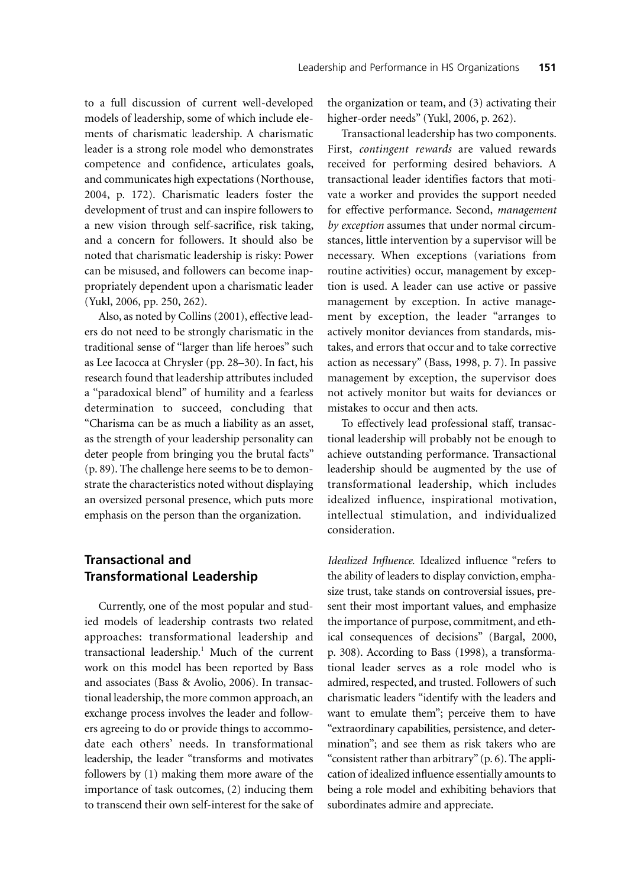to a full discussion of current well-developed models of leadership, some of which include elements of charismatic leadership. A charismatic leader is a strong role model who demonstrates competence and confidence, articulates goals, and communicates high expectations (Northouse, 2004, p. 172). Charismatic leaders foster the development of trust and can inspire followers to a new vision through self-sacrifice, risk taking, and a concern for followers. It should also be noted that charismatic leadership is risky: Power can be misused, and followers can become inappropriately dependent upon a charismatic leader (Yukl, 2006, pp. 250, 262).

Also, as noted by Collins (2001), effective leaders do not need to be strongly charismatic in the traditional sense of "larger than life heroes" such as Lee Iacocca at Chrysler (pp. 28–30). In fact, his research found that leadership attributes included a "paradoxical blend" of humility and a fearless determination to succeed, concluding that "Charisma can be as much a liability as an asset, as the strength of your leadership personality can deter people from bringing you the brutal facts" (p. 89). The challenge here seems to be to demonstrate the characteristics noted without displaying an oversized personal presence, which puts more emphasis on the person than the organization.

## **Transactional and Transformational Leadership**

Currently, one of the most popular and studied models of leadership contrasts two related approaches: transformational leadership and transactional leadership.<sup>1</sup> Much of the current work on this model has been reported by Bass and associates (Bass & Avolio, 2006). In transactional leadership, the more common approach, an exchange process involves the leader and followers agreeing to do or provide things to accommodate each others' needs. In transformational leadership, the leader "transforms and motivates followers by (1) making them more aware of the importance of task outcomes, (2) inducing them to transcend their own self-interest for the sake of

the organization or team, and (3) activating their higher-order needs" (Yukl, 2006, p. 262).

Transactional leadership has two components. First, *contingent rewards* are valued rewards received for performing desired behaviors. A transactional leader identifies factors that motivate a worker and provides the support needed for effective performance. Second, *management by exception* assumes that under normal circumstances, little intervention by a supervisor will be necessary. When exceptions (variations from routine activities) occur, management by exception is used. A leader can use active or passive management by exception. In active management by exception, the leader "arranges to actively monitor deviances from standards, mistakes, and errors that occur and to take corrective action as necessary" (Bass, 1998, p. 7). In passive management by exception, the supervisor does not actively monitor but waits for deviances or mistakes to occur and then acts.

To effectively lead professional staff, transactional leadership will probably not be enough to achieve outstanding performance. Transactional leadership should be augmented by the use of transformational leadership, which includes idealized influence, inspirational motivation, intellectual stimulation, and individualized consideration.

*Idealized Influence.* Idealized influence "refers to the ability of leaders to display conviction, emphasize trust, take stands on controversial issues, present their most important values, and emphasize the importance of purpose, commitment, and ethical consequences of decisions" (Bargal, 2000, p. 308). According to Bass (1998), a transformational leader serves as a role model who is admired, respected, and trusted. Followers of such charismatic leaders "identify with the leaders and want to emulate them"; perceive them to have "extraordinary capabilities, persistence, and determination"; and see them as risk takers who are "consistent rather than arbitrary" (p. 6). The application of idealized influence essentially amounts to being a role model and exhibiting behaviors that subordinates admire and appreciate.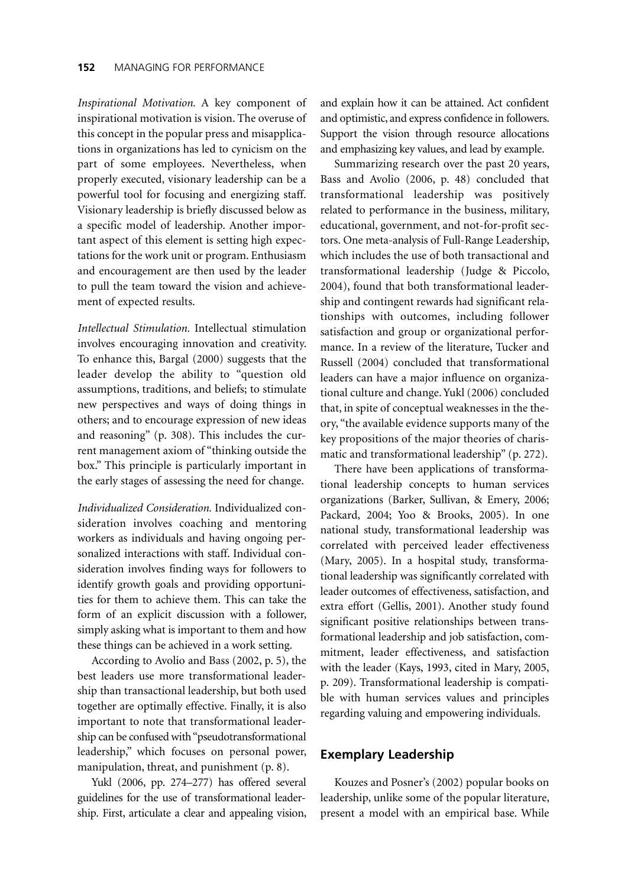*Inspirational Motivation.* A key component of inspirational motivation is vision. The overuse of this concept in the popular press and misapplications in organizations has led to cynicism on the part of some employees. Nevertheless, when properly executed, visionary leadership can be a powerful tool for focusing and energizing staff. Visionary leadership is briefly discussed below as a specific model of leadership. Another important aspect of this element is setting high expectations for the work unit or program. Enthusiasm and encouragement are then used by the leader to pull the team toward the vision and achievement of expected results.

*Intellectual Stimulation.* Intellectual stimulation involves encouraging innovation and creativity. To enhance this, Bargal (2000) suggests that the leader develop the ability to "question old assumptions, traditions, and beliefs; to stimulate new perspectives and ways of doing things in others; and to encourage expression of new ideas and reasoning" (p. 308). This includes the current management axiom of "thinking outside the box." This principle is particularly important in the early stages of assessing the need for change.

*Individualized Consideration.* Individualized consideration involves coaching and mentoring workers as individuals and having ongoing personalized interactions with staff. Individual consideration involves finding ways for followers to identify growth goals and providing opportunities for them to achieve them. This can take the form of an explicit discussion with a follower, simply asking what is important to them and how these things can be achieved in a work setting.

According to Avolio and Bass (2002, p. 5), the best leaders use more transformational leadership than transactional leadership, but both used together are optimally effective. Finally, it is also important to note that transformational leadership can be confused with"pseudotransformational leadership," which focuses on personal power, manipulation, threat, and punishment (p. 8).

Yukl (2006, pp. 274–277) has offered several guidelines for the use of transformational leadership. First, articulate a clear and appealing vision, and explain how it can be attained. Act confident and optimistic, and express confidence in followers. Support the vision through resource allocations and emphasizing key values, and lead by example.

Summarizing research over the past 20 years, Bass and Avolio (2006, p. 48) concluded that transformational leadership was positively related to performance in the business, military, educational, government, and not-for-profit sectors. One meta-analysis of Full-Range Leadership, which includes the use of both transactional and transformational leadership (Judge & Piccolo, 2004), found that both transformational leadership and contingent rewards had significant relationships with outcomes, including follower satisfaction and group or organizational performance. In a review of the literature, Tucker and Russell (2004) concluded that transformational leaders can have a major influence on organizational culture and change. Yukl (2006) concluded that, in spite of conceptual weaknesses in the theory, "the available evidence supports many of the key propositions of the major theories of charismatic and transformational leadership" (p. 272).

There have been applications of transformational leadership concepts to human services organizations (Barker, Sullivan, & Emery, 2006; Packard, 2004; Yoo & Brooks, 2005). In one national study, transformational leadership was correlated with perceived leader effectiveness (Mary, 2005). In a hospital study, transformational leadership was significantly correlated with leader outcomes of effectiveness, satisfaction, and extra effort (Gellis, 2001). Another study found significant positive relationships between transformational leadership and job satisfaction, commitment, leader effectiveness, and satisfaction with the leader (Kays, 1993, cited in Mary, 2005, p. 209). Transformational leadership is compatible with human services values and principles regarding valuing and empowering individuals.

#### **Exemplary Leadership**

Kouzes and Posner's (2002) popular books on leadership, unlike some of the popular literature, present a model with an empirical base. While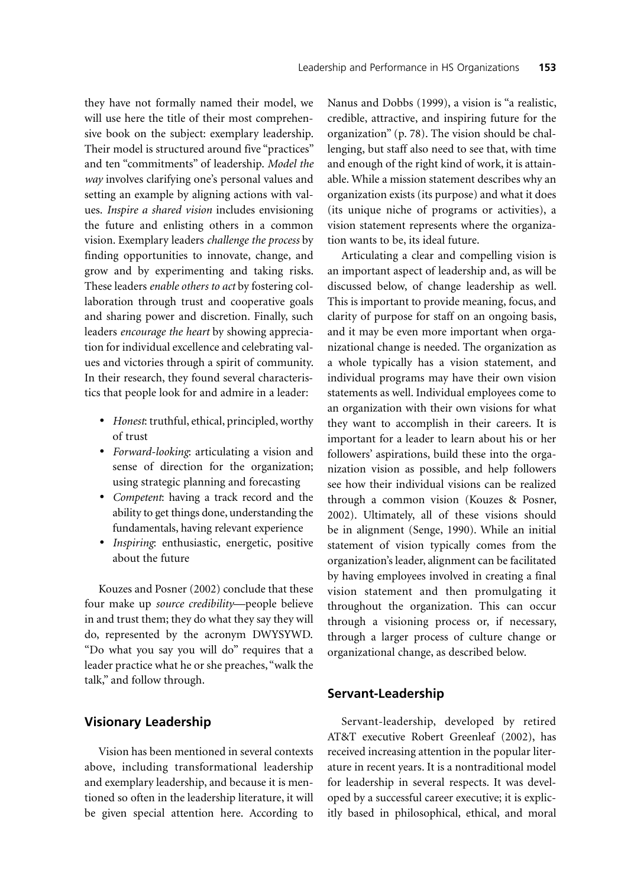they have not formally named their model, we will use here the title of their most comprehensive book on the subject: exemplary leadership. Their model is structured around five "practices" and ten "commitments" of leadership. *Model the way* involves clarifying one's personal values and setting an example by aligning actions with values. *Inspire a shared vision* includes envisioning the future and enlisting others in a common vision. Exemplary leaders *challenge the process* by finding opportunities to innovate, change, and grow and by experimenting and taking risks. These leaders *enable others to act* by fostering collaboration through trust and cooperative goals and sharing power and discretion. Finally, such leaders *encourage the heart* by showing appreciation for individual excellence and celebrating values and victories through a spirit of community. In their research, they found several characteristics that people look for and admire in a leader:

- *Honest*: truthful, ethical, principled, worthy of trust
- *Forward-looking*: articulating a vision and sense of direction for the organization; using strategic planning and forecasting
- *Competent*: having a track record and the ability to get things done, understanding the fundamentals, having relevant experience
- *Inspiring*: enthusiastic, energetic, positive about the future

Kouzes and Posner (2002) conclude that these four make up *source credibility*—people believe in and trust them; they do what they say they will do, represented by the acronym DWYSYWD. "Do what you say you will do" requires that a leader practice what he or she preaches, "walk the talk," and follow through.

#### **Visionary Leadership**

Vision has been mentioned in several contexts above, including transformational leadership and exemplary leadership, and because it is mentioned so often in the leadership literature, it will be given special attention here. According to

Nanus and Dobbs (1999), a vision is "a realistic, credible, attractive, and inspiring future for the organization" (p. 78). The vision should be challenging, but staff also need to see that, with time and enough of the right kind of work, it is attainable. While a mission statement describes why an organization exists (its purpose) and what it does (its unique niche of programs or activities), a vision statement represents where the organization wants to be, its ideal future.

Articulating a clear and compelling vision is an important aspect of leadership and, as will be discussed below, of change leadership as well. This is important to provide meaning, focus, and clarity of purpose for staff on an ongoing basis, and it may be even more important when organizational change is needed. The organization as a whole typically has a vision statement, and individual programs may have their own vision statements as well. Individual employees come to an organization with their own visions for what they want to accomplish in their careers. It is important for a leader to learn about his or her followers' aspirations, build these into the organization vision as possible, and help followers see how their individual visions can be realized through a common vision (Kouzes & Posner, 2002). Ultimately, all of these visions should be in alignment (Senge, 1990). While an initial statement of vision typically comes from the organization's leader, alignment can be facilitated by having employees involved in creating a final vision statement and then promulgating it throughout the organization. This can occur through a visioning process or, if necessary, through a larger process of culture change or organizational change, as described below.

#### **Servant-Leadership**

Servant-leadership, developed by retired AT&T executive Robert Greenleaf (2002), has received increasing attention in the popular literature in recent years. It is a nontraditional model for leadership in several respects. It was developed by a successful career executive; it is explicitly based in philosophical, ethical, and moral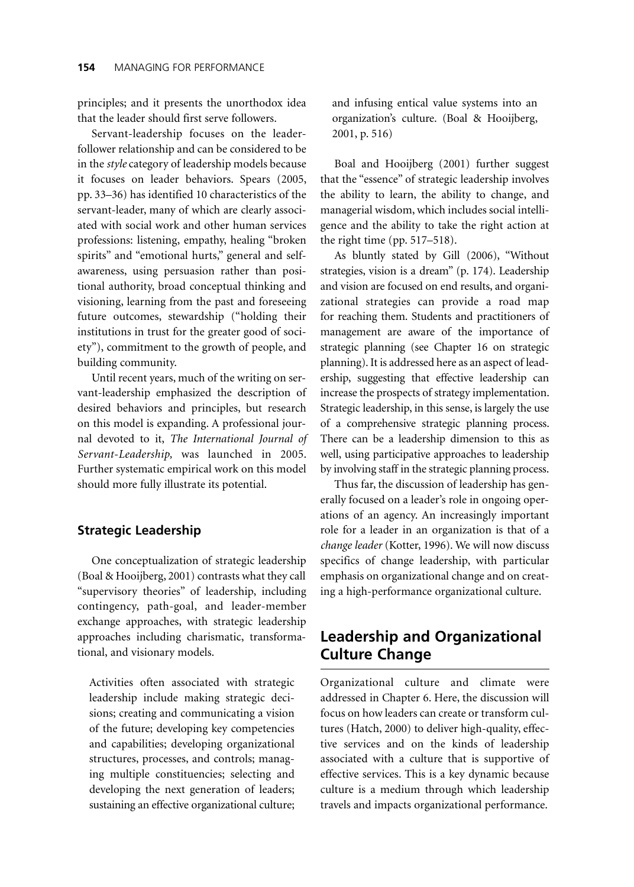principles; and it presents the unorthodox idea that the leader should first serve followers.

Servant-leadership focuses on the leaderfollower relationship and can be considered to be in the *style* category of leadership models because it focuses on leader behaviors. Spears (2005, pp. 33–36) has identified 10 characteristics of the servant-leader, many of which are clearly associated with social work and other human services professions: listening, empathy, healing "broken spirits" and "emotional hurts," general and selfawareness, using persuasion rather than positional authority, broad conceptual thinking and visioning, learning from the past and foreseeing future outcomes, stewardship ("holding their institutions in trust for the greater good of society"), commitment to the growth of people, and building community.

Until recent years, much of the writing on servant-leadership emphasized the description of desired behaviors and principles, but research on this model is expanding. A professional journal devoted to it, *The International Journal of Servant-Leadership,* was launched in 2005. Further systematic empirical work on this model should more fully illustrate its potential.

#### **Strategic Leadership**

One conceptualization of strategic leadership (Boal & Hooijberg, 2001) contrasts what they call "supervisory theories" of leadership, including contingency, path-goal, and leader-member exchange approaches, with strategic leadership approaches including charismatic, transformational, and visionary models.

Activities often associated with strategic leadership include making strategic decisions; creating and communicating a vision of the future; developing key competencies and capabilities; developing organizational structures, processes, and controls; managing multiple constituencies; selecting and developing the next generation of leaders; sustaining an effective organizational culture; and infusing entical value systems into an organization's culture. (Boal & Hooijberg, 2001, p. 516)

Boal and Hooijberg (2001) further suggest that the "essence" of strategic leadership involves the ability to learn, the ability to change, and managerial wisdom, which includes social intelligence and the ability to take the right action at the right time (pp. 517–518).

As bluntly stated by Gill (2006), "Without strategies, vision is a dream" (p. 174). Leadership and vision are focused on end results, and organizational strategies can provide a road map for reaching them. Students and practitioners of management are aware of the importance of strategic planning (see Chapter 16 on strategic planning). It is addressed here as an aspect of leadership, suggesting that effective leadership can increase the prospects of strategy implementation. Strategic leadership, in this sense, is largely the use of a comprehensive strategic planning process. There can be a leadership dimension to this as well, using participative approaches to leadership by involving staff in the strategic planning process.

Thus far, the discussion of leadership has generally focused on a leader's role in ongoing operations of an agency. An increasingly important role for a leader in an organization is that of a *change leader* (Kotter, 1996). We will now discuss specifics of change leadership, with particular emphasis on organizational change and on creating a high-performance organizational culture.

## **Leadership and Organizational Culture Change**

Organizational culture and climate were addressed in Chapter 6. Here, the discussion will focus on how leaders can create or transform cultures (Hatch, 2000) to deliver high-quality, effective services and on the kinds of leadership associated with a culture that is supportive of effective services. This is a key dynamic because culture is a medium through which leadership travels and impacts organizational performance.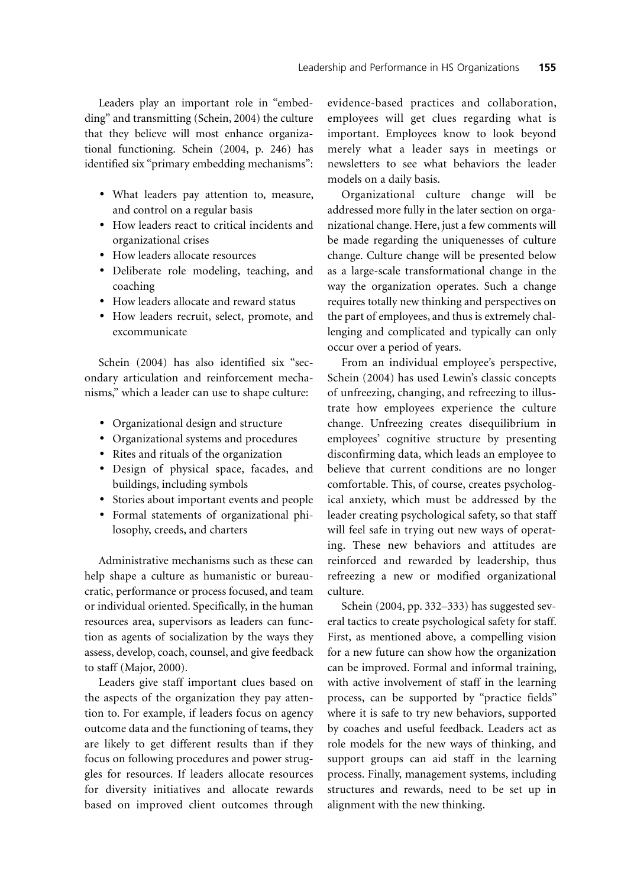Leaders play an important role in "embedding" and transmitting (Schein, 2004) the culture that they believe will most enhance organizational functioning. Schein (2004, p. 246) has identified six "primary embedding mechanisms":

- What leaders pay attention to, measure, and control on a regular basis
- How leaders react to critical incidents and organizational crises
- How leaders allocate resources
- Deliberate role modeling, teaching, and coaching
- How leaders allocate and reward status
- How leaders recruit, select, promote, and excommunicate

Schein (2004) has also identified six "secondary articulation and reinforcement mechanisms," which a leader can use to shape culture:

- Organizational design and structure
- Organizational systems and procedures
- Rites and rituals of the organization
- Design of physical space, facades, and buildings, including symbols
- Stories about important events and people
- Formal statements of organizational philosophy, creeds, and charters

Administrative mechanisms such as these can help shape a culture as humanistic or bureaucratic, performance or process focused, and team or individual oriented. Specifically, in the human resources area, supervisors as leaders can function as agents of socialization by the ways they assess, develop, coach, counsel, and give feedback to staff (Major, 2000).

Leaders give staff important clues based on the aspects of the organization they pay attention to. For example, if leaders focus on agency outcome data and the functioning of teams, they are likely to get different results than if they focus on following procedures and power struggles for resources. If leaders allocate resources for diversity initiatives and allocate rewards based on improved client outcomes through

evidence-based practices and collaboration, employees will get clues regarding what is important. Employees know to look beyond merely what a leader says in meetings or newsletters to see what behaviors the leader models on a daily basis.

Organizational culture change will be addressed more fully in the later section on organizational change. Here, just a few comments will be made regarding the uniquenesses of culture change. Culture change will be presented below as a large-scale transformational change in the way the organization operates. Such a change requires totally new thinking and perspectives on the part of employees, and thus is extremely challenging and complicated and typically can only occur over a period of years.

From an individual employee's perspective, Schein (2004) has used Lewin's classic concepts of unfreezing, changing, and refreezing to illustrate how employees experience the culture change. Unfreezing creates disequilibrium in employees' cognitive structure by presenting disconfirming data, which leads an employee to believe that current conditions are no longer comfortable. This, of course, creates psychological anxiety, which must be addressed by the leader creating psychological safety, so that staff will feel safe in trying out new ways of operating. These new behaviors and attitudes are reinforced and rewarded by leadership, thus refreezing a new or modified organizational culture.

Schein (2004, pp. 332–333) has suggested several tactics to create psychological safety for staff. First, as mentioned above, a compelling vision for a new future can show how the organization can be improved. Formal and informal training, with active involvement of staff in the learning process, can be supported by "practice fields" where it is safe to try new behaviors, supported by coaches and useful feedback. Leaders act as role models for the new ways of thinking, and support groups can aid staff in the learning process. Finally, management systems, including structures and rewards, need to be set up in alignment with the new thinking.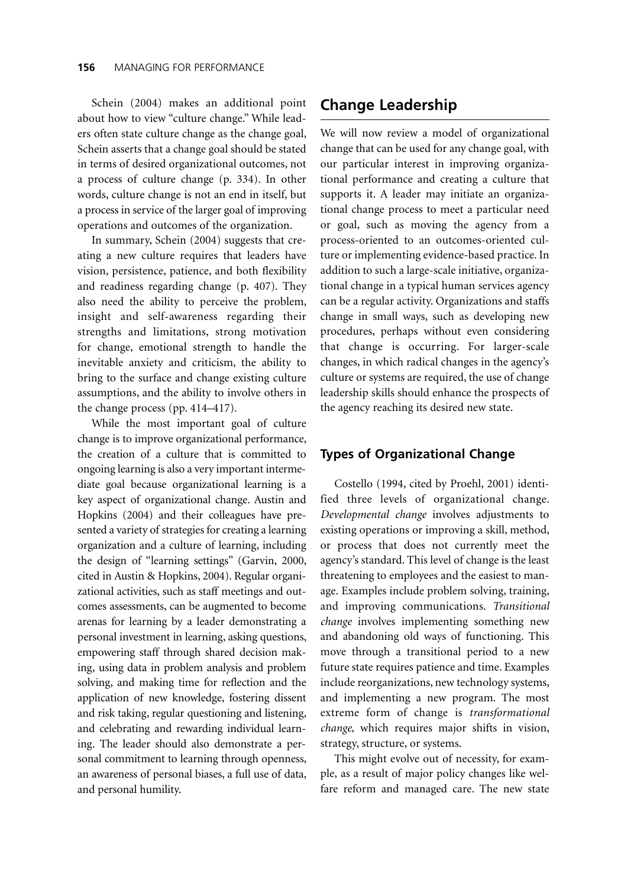Schein (2004) makes an additional point about how to view "culture change." While leaders often state culture change as the change goal, Schein asserts that a change goal should be stated in terms of desired organizational outcomes, not a process of culture change (p. 334). In other words, culture change is not an end in itself, but a process in service of the larger goal of improving operations and outcomes of the organization.

In summary, Schein (2004) suggests that creating a new culture requires that leaders have vision, persistence, patience, and both flexibility and readiness regarding change (p. 407). They also need the ability to perceive the problem, insight and self-awareness regarding their strengths and limitations, strong motivation for change, emotional strength to handle the inevitable anxiety and criticism, the ability to bring to the surface and change existing culture assumptions, and the ability to involve others in the change process (pp. 414–417).

While the most important goal of culture change is to improve organizational performance, the creation of a culture that is committed to ongoing learning is also a very important intermediate goal because organizational learning is a key aspect of organizational change. Austin and Hopkins (2004) and their colleagues have presented a variety of strategies for creating a learning organization and a culture of learning, including the design of "learning settings" (Garvin, 2000, cited in Austin & Hopkins, 2004). Regular organizational activities, such as staff meetings and outcomes assessments, can be augmented to become arenas for learning by a leader demonstrating a personal investment in learning, asking questions, empowering staff through shared decision making, using data in problem analysis and problem solving, and making time for reflection and the application of new knowledge, fostering dissent and risk taking, regular questioning and listening, and celebrating and rewarding individual learning. The leader should also demonstrate a personal commitment to learning through openness, an awareness of personal biases, a full use of data, and personal humility.

## **Change Leadership**

We will now review a model of organizational change that can be used for any change goal, with our particular interest in improving organizational performance and creating a culture that supports it. A leader may initiate an organizational change process to meet a particular need or goal, such as moving the agency from a process-oriented to an outcomes-oriented culture or implementing evidence-based practice. In addition to such a large-scale initiative, organizational change in a typical human services agency can be a regular activity. Organizations and staffs change in small ways, such as developing new procedures, perhaps without even considering that change is occurring. For larger-scale changes, in which radical changes in the agency's culture or systems are required, the use of change leadership skills should enhance the prospects of the agency reaching its desired new state.

#### **Types of Organizational Change**

Costello (1994, cited by Proehl, 2001) identified three levels of organizational change. *Developmental change* involves adjustments to existing operations or improving a skill, method, or process that does not currently meet the agency's standard. This level of change is the least threatening to employees and the easiest to manage. Examples include problem solving, training, and improving communications. *Transitional change* involves implementing something new and abandoning old ways of functioning. This move through a transitional period to a new future state requires patience and time. Examples include reorganizations, new technology systems, and implementing a new program. The most extreme form of change is *transformational change,* which requires major shifts in vision, strategy, structure, or systems.

This might evolve out of necessity, for example, as a result of major policy changes like welfare reform and managed care. The new state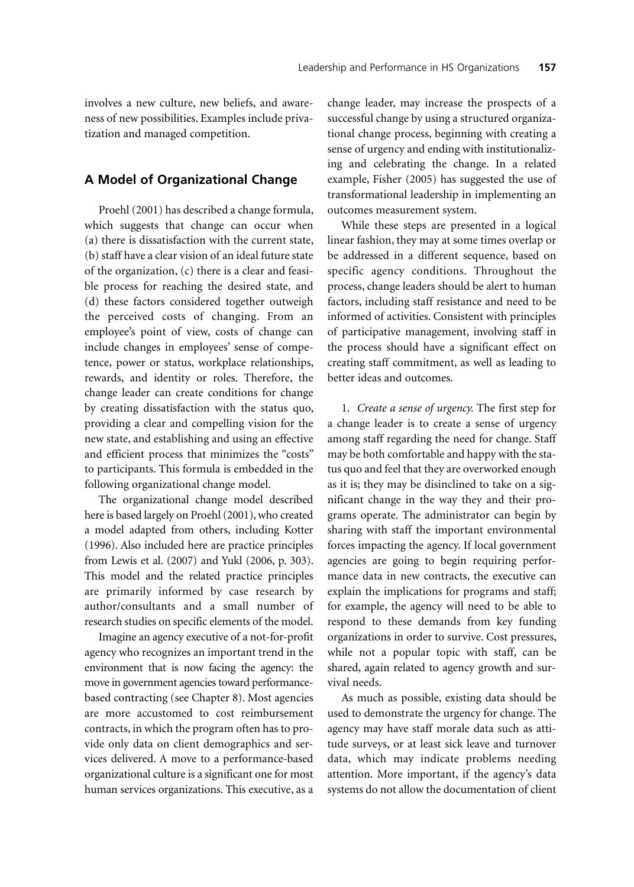involves a new culture, new beliefs, and awareness of new possibilities. Examples include privatization and managed competition.

#### **A Model of Organizational Change**

Proehl (2001) has described a change formula, which suggests that change can occur when (a) there is dissatisfaction with the current state, (b) staff have a clear vision of an ideal future state of the organization, (c) there is a clear and feasible process for reaching the desired state, and (d) these factors considered together outweigh the perceived costs of changing. From an employee's point of view, costs of change can include changes in employees' sense of competence, power or status, workplace relationships, rewards, and identity or roles. Therefore, the change leader can create conditions for change by creating dissatisfaction with the status quo, providing a clear and compelling vision for the new state, and establishing and using an effective and efficient process that minimizes the "costs" to participants. This formula is embedded in the following organizational change model.

The organizational change model described here is based largely on Proehl (2001), who created a model adapted from others, including Kotter (1996). Also included here are practice principles from Lewis et al. (2007) and Yukl (2006, p. 303). This model and the related practice principles are primarily informed by case research by author/consultants and a small number of research studies on specific elements of the model.

Imagine an agency executive of a not-for-profit agency who recognizes an important trend in the environment that is now facing the agency: the move in government agencies toward performancebased contracting (see Chapter 8). Most agencies are more accustomed to cost reimbursement contracts, in which the program often has to provide only data on client demographics and services delivered. A move to a performance-based organizational culture is a significant one for most human services organizations. This executive, as a

change leader, may increase the prospects of a successful change by using a structured organizational change process, beginning with creating a sense of urgency and ending with institutionalizing and celebrating the change. In a related example, Fisher (2005) has suggested the use of transformational leadership in implementing an outcomes measurement system.

While these steps are presented in a logical linear fashion, they may at some times overlap or be addressed in a different sequence, based on specific agency conditions. Throughout the process, change leaders should be alert to human factors, including staff resistance and need to be informed of activities. Consistent with principles of participative management, involving staff in the process should have a significant effect on creating staff commitment, as well as leading to better ideas and outcomes.

1. *Create a sense of urgency.* The first step for a change leader is to create a sense of urgency among staff regarding the need for change. Staff may be both comfortable and happy with the status quo and feel that they are overworked enough as it is; they may be disinclined to take on a significant change in the way they and their programs operate. The administrator can begin by sharing with staff the important environmental forces impacting the agency. If local government agencies are going to begin requiring performance data in new contracts, the executive can explain the implications for programs and staff; for example, the agency will need to be able to respond to these demands from key funding organizations in order to survive. Cost pressures, while not a popular topic with staff, can be shared, again related to agency growth and survival needs.

As much as possible, existing data should be used to demonstrate the urgency for change. The agency may have staff morale data such as attitude surveys, or at least sick leave and turnover data, which may indicate problems needing attention. More important, if the agency's data systems do not allow the documentation of client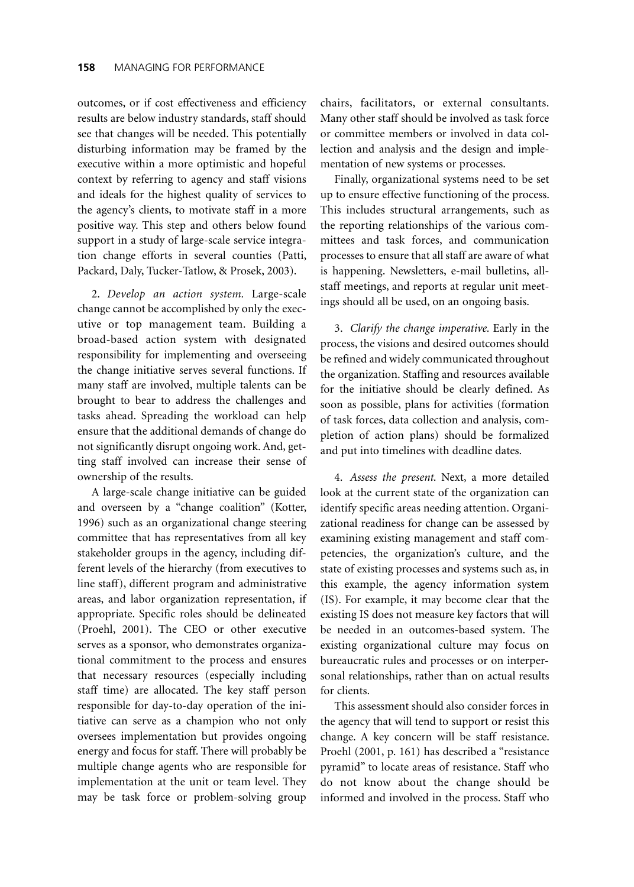outcomes, or if cost effectiveness and efficiency results are below industry standards, staff should see that changes will be needed. This potentially disturbing information may be framed by the executive within a more optimistic and hopeful context by referring to agency and staff visions and ideals for the highest quality of services to the agency's clients, to motivate staff in a more positive way. This step and others below found support in a study of large-scale service integration change efforts in several counties (Patti, Packard, Daly, Tucker-Tatlow, & Prosek, 2003).

2. *Develop an action system.* Large-scale change cannot be accomplished by only the executive or top management team. Building a broad-based action system with designated responsibility for implementing and overseeing the change initiative serves several functions. If many staff are involved, multiple talents can be brought to bear to address the challenges and tasks ahead. Spreading the workload can help ensure that the additional demands of change do not significantly disrupt ongoing work. And, getting staff involved can increase their sense of ownership of the results.

A large-scale change initiative can be guided and overseen by a "change coalition" (Kotter, 1996) such as an organizational change steering committee that has representatives from all key stakeholder groups in the agency, including different levels of the hierarchy (from executives to line staff), different program and administrative areas, and labor organization representation, if appropriate. Specific roles should be delineated (Proehl, 2001). The CEO or other executive serves as a sponsor, who demonstrates organizational commitment to the process and ensures that necessary resources (especially including staff time) are allocated. The key staff person responsible for day-to-day operation of the initiative can serve as a champion who not only oversees implementation but provides ongoing energy and focus for staff. There will probably be multiple change agents who are responsible for implementation at the unit or team level. They may be task force or problem-solving group

chairs, facilitators, or external consultants. Many other staff should be involved as task force or committee members or involved in data collection and analysis and the design and implementation of new systems or processes.

Finally, organizational systems need to be set up to ensure effective functioning of the process. This includes structural arrangements, such as the reporting relationships of the various committees and task forces, and communication processes to ensure that all staff are aware of what is happening. Newsletters, e-mail bulletins, allstaff meetings, and reports at regular unit meetings should all be used, on an ongoing basis.

3. *Clarify the change imperative.* Early in the process, the visions and desired outcomes should be refined and widely communicated throughout the organization. Staffing and resources available for the initiative should be clearly defined. As soon as possible, plans for activities (formation of task forces, data collection and analysis, completion of action plans) should be formalized and put into timelines with deadline dates.

4. *Assess the present*. Next, a more detailed look at the current state of the organization can identify specific areas needing attention. Organizational readiness for change can be assessed by examining existing management and staff competencies, the organization's culture, and the state of existing processes and systems such as, in this example, the agency information system (IS). For example, it may become clear that the existing IS does not measure key factors that will be needed in an outcomes-based system. The existing organizational culture may focus on bureaucratic rules and processes or on interpersonal relationships, rather than on actual results for clients.

This assessment should also consider forces in the agency that will tend to support or resist this change. A key concern will be staff resistance. Proehl (2001, p. 161) has described a "resistance pyramid" to locate areas of resistance. Staff who do not know about the change should be informed and involved in the process. Staff who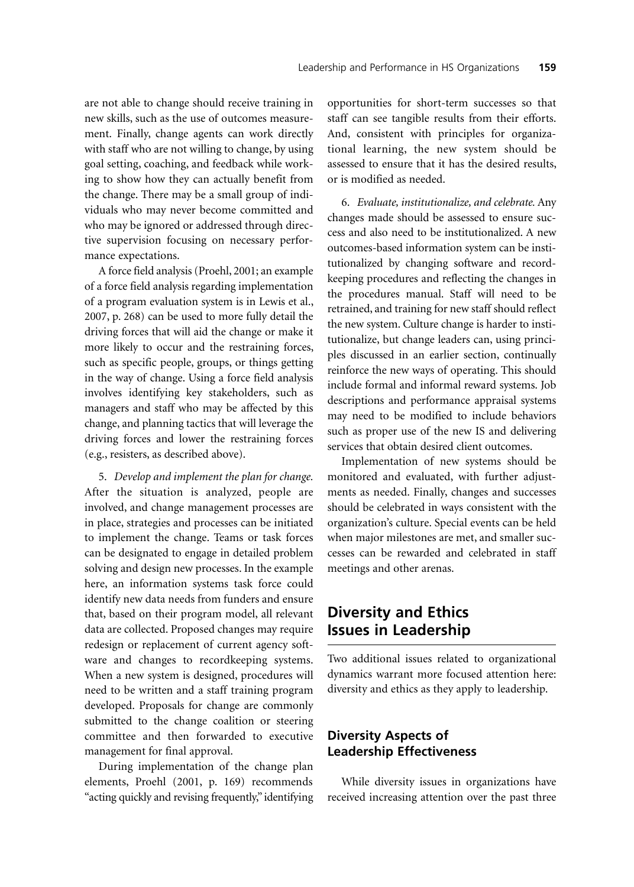are not able to change should receive training in new skills, such as the use of outcomes measurement. Finally, change agents can work directly with staff who are not willing to change, by using goal setting, coaching, and feedback while working to show how they can actually benefit from the change. There may be a small group of individuals who may never become committed and who may be ignored or addressed through directive supervision focusing on necessary performance expectations.

A force field analysis (Proehl, 2001; an example of a force field analysis regarding implementation of a program evaluation system is in Lewis et al., 2007, p. 268) can be used to more fully detail the driving forces that will aid the change or make it more likely to occur and the restraining forces, such as specific people, groups, or things getting in the way of change. Using a force field analysis involves identifying key stakeholders, such as managers and staff who may be affected by this change, and planning tactics that will leverage the driving forces and lower the restraining forces (e.g., resisters, as described above).

5. *Develop and implement the plan for change.* After the situation is analyzed, people are involved, and change management processes are in place, strategies and processes can be initiated to implement the change. Teams or task forces can be designated to engage in detailed problem solving and design new processes. In the example here, an information systems task force could identify new data needs from funders and ensure that, based on their program model, all relevant data are collected. Proposed changes may require redesign or replacement of current agency software and changes to recordkeeping systems. When a new system is designed, procedures will need to be written and a staff training program developed. Proposals for change are commonly submitted to the change coalition or steering committee and then forwarded to executive management for final approval.

During implementation of the change plan elements, Proehl (2001, p. 169) recommends "acting quickly and revising frequently," identifying opportunities for short-term successes so that staff can see tangible results from their efforts. And, consistent with principles for organizational learning, the new system should be assessed to ensure that it has the desired results, or is modified as needed.

6. *Evaluate, institutionalize, and celebrate.* Any changes made should be assessed to ensure success and also need to be institutionalized. A new outcomes-based information system can be institutionalized by changing software and recordkeeping procedures and reflecting the changes in the procedures manual. Staff will need to be retrained, and training for new staff should reflect the new system. Culture change is harder to institutionalize, but change leaders can, using principles discussed in an earlier section, continually reinforce the new ways of operating. This should include formal and informal reward systems. Job descriptions and performance appraisal systems may need to be modified to include behaviors such as proper use of the new IS and delivering services that obtain desired client outcomes.

Implementation of new systems should be monitored and evaluated, with further adjustments as needed. Finally, changes and successes should be celebrated in ways consistent with the organization's culture. Special events can be held when major milestones are met, and smaller successes can be rewarded and celebrated in staff meetings and other arenas.

## **Diversity and Ethics Issues in Leadership**

Two additional issues related to organizational dynamics warrant more focused attention here: diversity and ethics as they apply to leadership.

## **Diversity Aspects of Leadership Effectiveness**

While diversity issues in organizations have received increasing attention over the past three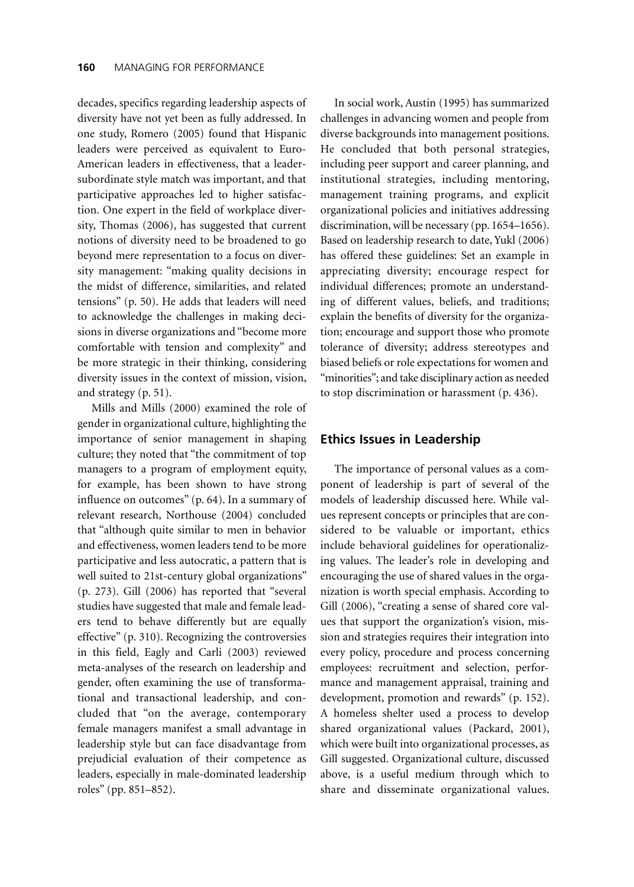decades, specifics regarding leadership aspects of diversity have not yet been as fully addressed. In one study, Romero (2005) found that Hispanic leaders were perceived as equivalent to Euro-American leaders in effectiveness, that a leadersubordinate style match was important, and that participative approaches led to higher satisfaction. One expert in the field of workplace diversity, Thomas (2006), has suggested that current notions of diversity need to be broadened to go beyond mere representation to a focus on diversity management: "making quality decisions in the midst of difference, similarities, and related tensions" (p. 50). He adds that leaders will need to acknowledge the challenges in making decisions in diverse organizations and "become more comfortable with tension and complexity" and be more strategic in their thinking, considering diversity issues in the context of mission, vision, and strategy (p. 51).

Mills and Mills (2000) examined the role of gender in organizational culture, highlighting the importance of senior management in shaping culture; they noted that "the commitment of top managers to a program of employment equity, for example, has been shown to have strong influence on outcomes" (p. 64). In a summary of relevant research, Northouse (2004) concluded that "although quite similar to men in behavior and effectiveness, women leaders tend to be more participative and less autocratic, a pattern that is well suited to 21st-century global organizations" (p. 273). Gill (2006) has reported that "several studies have suggested that male and female leaders tend to behave differently but are equally effective" (p. 310). Recognizing the controversies in this field, Eagly and Carli (2003) reviewed meta-analyses of the research on leadership and gender, often examining the use of transformational and transactional leadership, and concluded that "on the average, contemporary female managers manifest a small advantage in leadership style but can face disadvantage from prejudicial evaluation of their competence as leaders, especially in male-dominated leadership roles" (pp. 851–852).

In social work, Austin (1995) has summarized challenges in advancing women and people from diverse backgrounds into management positions. He concluded that both personal strategies, including peer support and career planning, and institutional strategies, including mentoring, management training programs, and explicit organizational policies and initiatives addressing discrimination, will be necessary (pp. 1654–1656). Based on leadership research to date, Yukl (2006) has offered these guidelines: Set an example in appreciating diversity; encourage respect for individual differences; promote an understanding of different values, beliefs, and traditions; explain the benefits of diversity for the organization; encourage and support those who promote tolerance of diversity; address stereotypes and biased beliefs or role expectations for women and "minorities"; and take disciplinary action as needed to stop discrimination or harassment (p. 436).

#### **Ethics Issues in Leadership**

The importance of personal values as a component of leadership is part of several of the models of leadership discussed here. While values represent concepts or principles that are considered to be valuable or important, ethics include behavioral guidelines for operationalizing values. The leader's role in developing and encouraging the use of shared values in the organization is worth special emphasis. According to Gill (2006), "creating a sense of shared core values that support the organization's vision, mission and strategies requires their integration into every policy, procedure and process concerning employees: recruitment and selection, performance and management appraisal, training and development, promotion and rewards" (p. 152). A homeless shelter used a process to develop shared organizational values (Packard, 2001), which were built into organizational processes, as Gill suggested. Organizational culture, discussed above, is a useful medium through which to share and disseminate organizational values.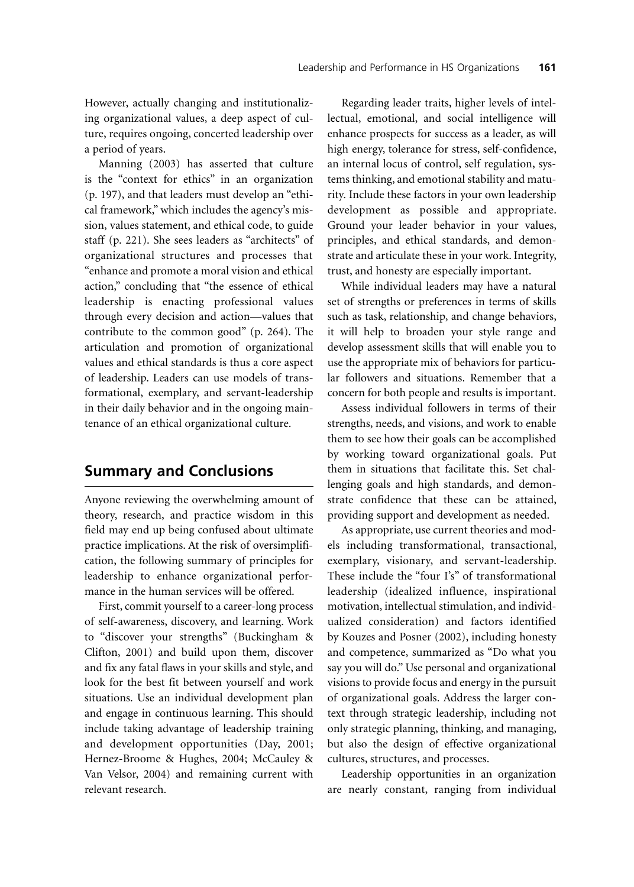However, actually changing and institutionalizing organizational values, a deep aspect of culture, requires ongoing, concerted leadership over a period of years.

Manning (2003) has asserted that culture is the "context for ethics" in an organization (p. 197), and that leaders must develop an "ethical framework," which includes the agency's mission, values statement, and ethical code, to guide staff (p. 221). She sees leaders as "architects" of organizational structures and processes that "enhance and promote a moral vision and ethical action," concluding that "the essence of ethical leadership is enacting professional values through every decision and action—values that contribute to the common good" (p. 264). The articulation and promotion of organizational values and ethical standards is thus a core aspect of leadership. Leaders can use models of transformational, exemplary, and servant-leadership in their daily behavior and in the ongoing maintenance of an ethical organizational culture.

## **Summary and Conclusions**

Anyone reviewing the overwhelming amount of theory, research, and practice wisdom in this field may end up being confused about ultimate practice implications. At the risk of oversimplification, the following summary of principles for leadership to enhance organizational performance in the human services will be offered.

First, commit yourself to a career-long process of self-awareness, discovery, and learning. Work to "discover your strengths" (Buckingham & Clifton, 2001) and build upon them, discover and fix any fatal flaws in your skills and style, and look for the best fit between yourself and work situations. Use an individual development plan and engage in continuous learning. This should include taking advantage of leadership training and development opportunities (Day, 2001; Hernez-Broome & Hughes, 2004; McCauley & Van Velsor, 2004) and remaining current with relevant research.

Regarding leader traits, higher levels of intellectual, emotional, and social intelligence will enhance prospects for success as a leader, as will high energy, tolerance for stress, self-confidence, an internal locus of control, self regulation, systems thinking, and emotional stability and maturity. Include these factors in your own leadership development as possible and appropriate. Ground your leader behavior in your values, principles, and ethical standards, and demonstrate and articulate these in your work. Integrity, trust, and honesty are especially important.

While individual leaders may have a natural set of strengths or preferences in terms of skills such as task, relationship, and change behaviors, it will help to broaden your style range and develop assessment skills that will enable you to use the appropriate mix of behaviors for particular followers and situations. Remember that a concern for both people and results is important.

Assess individual followers in terms of their strengths, needs, and visions, and work to enable them to see how their goals can be accomplished by working toward organizational goals. Put them in situations that facilitate this. Set challenging goals and high standards, and demonstrate confidence that these can be attained, providing support and development as needed.

As appropriate, use current theories and models including transformational, transactional, exemplary, visionary, and servant-leadership. These include the "four I's" of transformational leadership (idealized influence, inspirational motivation, intellectual stimulation, and individualized consideration) and factors identified by Kouzes and Posner (2002), including honesty and competence, summarized as "Do what you say you will do." Use personal and organizational visions to provide focus and energy in the pursuit of organizational goals. Address the larger context through strategic leadership, including not only strategic planning, thinking, and managing, but also the design of effective organizational cultures, structures, and processes.

Leadership opportunities in an organization are nearly constant, ranging from individual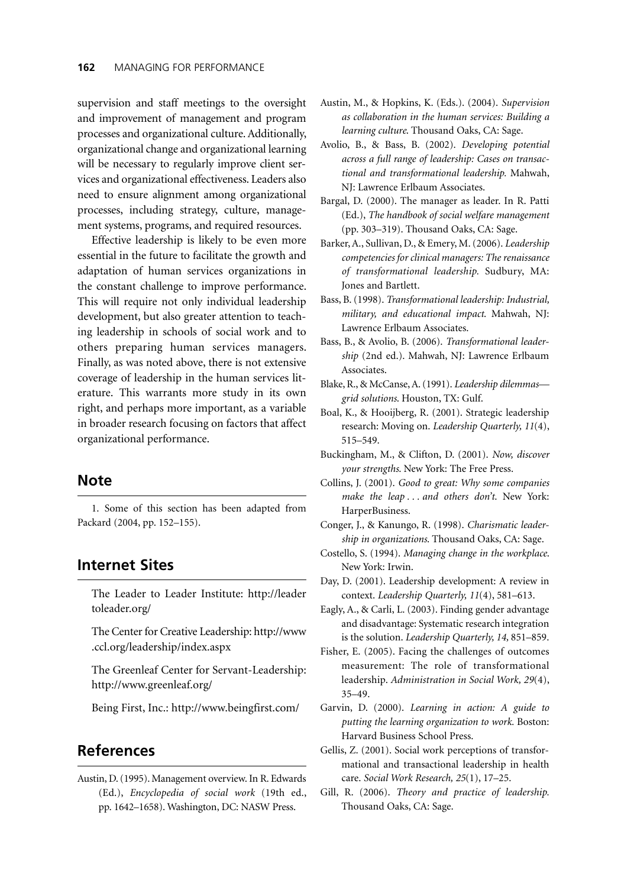supervision and staff meetings to the oversight and improvement of management and program processes and organizational culture. Additionally, organizational change and organizational learning will be necessary to regularly improve client services and organizational effectiveness. Leaders also need to ensure alignment among organizational processes, including strategy, culture, management systems, programs, and required resources.

Effective leadership is likely to be even more essential in the future to facilitate the growth and adaptation of human services organizations in the constant challenge to improve performance. This will require not only individual leadership development, but also greater attention to teaching leadership in schools of social work and to others preparing human services managers. Finally, as was noted above, there is not extensive coverage of leadership in the human services literature. This warrants more study in its own right, and perhaps more important, as a variable in broader research focusing on factors that affect organizational performance.

## **Note**

1. Some of this section has been adapted from Packard (2004, pp. 152–155).

## **Internet Sites**

The Leader to Leader Institute: http://leader toleader.org/

The Center for Creative Leadership: http://www .ccl.org/leadership/index.aspx

The Greenleaf Center for Servant-Leadership: http://www.greenleaf.org/

Being First, Inc.: http://www.beingfirst.com/

## **References**

Austin, D. (1995). Management overview. In R. Edwards (Ed.), *Encyclopedia of social work* (19th ed., pp. 1642–1658). Washington, DC: NASW Press.

- Austin, M., & Hopkins, K. (Eds.). (2004). *Supervision as collaboration in the human services: Building a learning culture*. Thousand Oaks, CA: Sage.
- Avolio, B., & Bass, B. (2002). *Developing potential across a full range of leadership: Cases on transactional and transformational leadership.* Mahwah, NJ: Lawrence Erlbaum Associates.
- Bargal, D. (2000). The manager as leader. In R. Patti (Ed.), *The handbook of social welfare management* (pp. 303–319). Thousand Oaks, CA: Sage.
- Barker, A., Sullivan, D., & Emery, M. (2006). *Leadership competencies for clinical managers: The renaissance of transformational leadership.* Sudbury, MA: Jones and Bartlett.
- Bass, B. (1998). *Transformational leadership: Industrial, military, and educational impact*. Mahwah, NJ: Lawrence Erlbaum Associates.
- Bass, B., & Avolio, B. (2006). *Transformational leadership* (2nd ed.). Mahwah, NJ: Lawrence Erlbaum Associates.
- Blake, R., & McCanse, A. (1991). *Leadership dilemmas grid solutions*. Houston, TX: Gulf.
- Boal, K., & Hooijberg, R. (2001). Strategic leadership research: Moving on. *Leadership Quarterly, 11*(4), 515–549.
- Buckingham, M., & Clifton, D. (2001). *Now, discover your strengths*. New York: The Free Press.
- Collins, J. (2001). *Good to great: Why some companies make the leap ... and others don't*. New York: HarperBusiness.
- Conger, J., & Kanungo, R. (1998). *Charismatic leadership in organizations*. Thousand Oaks, CA: Sage.
- Costello, S. (1994). *Managing change in the workplace*. New York: Irwin.
- Day, D. (2001). Leadership development: A review in context. *Leadership Quarterly, 11*(4), 581–613.
- Eagly, A., & Carli, L. (2003). Finding gender advantage and disadvantage: Systematic research integration is the solution. *Leadership Quarterly, 14,* 851–859.
- Fisher, E. (2005). Facing the challenges of outcomes measurement: The role of transformational leadership. *Administration in Social Work, 29*(4), 35–49.
- Garvin, D. (2000). *Learning in action: A guide to putting the learning organization to work.* Boston: Harvard Business School Press.
- Gellis, Z. (2001). Social work perceptions of transformational and transactional leadership in health care. *Social Work Research, 25*(1), 17–25.
- Gill, R. (2006). *Theory and practice of leadership.* Thousand Oaks, CA: Sage.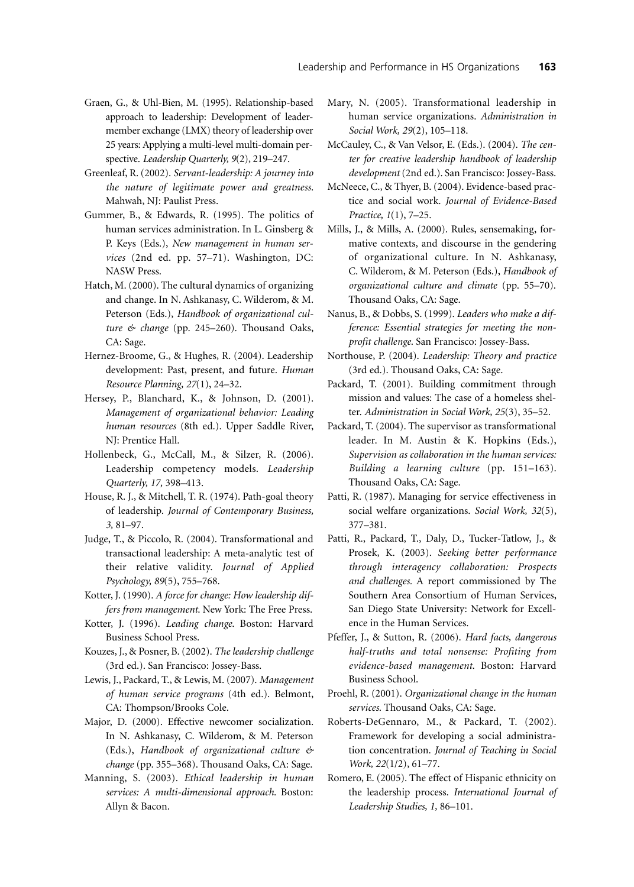- Graen, G., & Uhl-Bien, M. (1995). Relationship-based approach to leadership: Development of leadermember exchange (LMX) theory of leadership over 25 years: Applying a multi-level multi-domain perspective. *Leadership Quarterly, 9*(2), 219–247.
- Greenleaf, R. (2002). *Servant-leadership: A journey into the nature of legitimate power and greatness*. Mahwah, NJ: Paulist Press.
- Gummer, B., & Edwards, R. (1995). The politics of human services administration. In L. Ginsberg & P. Keys (Eds.), *New management in human services* (2nd ed. pp. 57–71). Washington, DC: NASW Press.
- Hatch, M. (2000). The cultural dynamics of organizing and change. In N. Ashkanasy, C. Wilderom, & M. Peterson (Eds.), *Handbook of organizational culture & change* (pp. 245–260). Thousand Oaks, CA: Sage.
- Hernez-Broome, G., & Hughes, R. (2004). Leadership development: Past, present, and future. *Human Resource Planning, 27*(1), 24–32.
- Hersey, P., Blanchard, K., & Johnson, D. (2001). *Management of organizational behavior: Leading human resources* (8th ed.). Upper Saddle River, NJ: Prentice Hall.
- Hollenbeck, G., McCall, M., & Silzer, R. (2006). Leadership competency models. *Leadership Quarterly, 17,* 398–413.
- House, R. J., & Mitchell, T. R. (1974). Path-goal theory of leadership. *Journal of Contemporary Business, 3,* 81–97.
- Judge, T., & Piccolo, R. (2004). Transformational and transactional leadership: A meta-analytic test of their relative validity. *Journal of Applied Psychology, 89*(5), 755–768.
- Kotter, J. (1990). *A force for change: How leadership differs from management*. New York: The Free Press.
- Kotter, J. (1996). *Leading change*. Boston: Harvard Business School Press.
- Kouzes, J., & Posner, B. (2002). *The leadership challenge* (3rd ed.). San Francisco: Jossey-Bass.
- Lewis, J., Packard, T., & Lewis, M. (2007). *Management of human service programs* (4th ed.). Belmont, CA: Thompson/Brooks Cole.
- Major, D. (2000). Effective newcomer socialization. In N. Ashkanasy, C. Wilderom, & M. Peterson (Eds.), *Handbook of organizational culture & change* (pp. 355–368). Thousand Oaks, CA: Sage.
- Manning, S. (2003). *Ethical leadership in human services: A multi-dimensional approach*. Boston: Allyn & Bacon.
- Mary, N. (2005). Transformational leadership in human service organizations. *Administration in Social Work, 29*(2), 105–118.
- McCauley, C., & Van Velsor, E. (Eds.). (2004). *The center for creative leadership handbook of leadership development* (2nd ed.). San Francisco: Jossey-Bass.
- McNeece, C., & Thyer, B. (2004). Evidence-based practice and social work. *Journal of Evidence-Based Practice, 1*(1), 7–25.
- Mills, J., & Mills, A. (2000). Rules, sensemaking, formative contexts, and discourse in the gendering of organizational culture. In N. Ashkanasy, C. Wilderom, & M. Peterson (Eds.), *Handbook of organizational culture and climate* (pp. 55–70). Thousand Oaks, CA: Sage.
- Nanus, B., & Dobbs, S. (1999). *Leaders who make a difference: Essential strategies for meeting the nonprofit challenge*. San Francisco: Jossey-Bass.
- Northouse, P. (2004). *Leadership: Theory and practice* (3rd ed.). Thousand Oaks, CA: Sage.
- Packard, T. (2001). Building commitment through mission and values: The case of a homeless shelter. *Administration in Social Work, 25*(3), 35–52.
- Packard, T. (2004). The supervisor as transformational leader. In M. Austin & K. Hopkins (Eds.), *Supervision as collaboration in the human services: Building a learning culture* (pp. 151–163). Thousand Oaks, CA: Sage.
- Patti, R. (1987). Managing for service effectiveness in social welfare organizations. *Social Work, 32*(5), 377–381.
- Patti, R., Packard, T., Daly, D., Tucker-Tatlow, J., & Prosek, K. (2003). *Seeking better performance through interagency collaboration: Prospects and challenges.* A report commissioned by The Southern Area Consortium of Human Services, San Diego State University: Network for Excellence in the Human Services.
- Pfeffer, J., & Sutton, R. (2006). *Hard facts, dangerous half-truths and total nonsense: Profiting from evidence-based management*. Boston: Harvard Business School.
- Proehl, R. (2001). *Organizational change in the human services*. Thousand Oaks, CA: Sage.
- Roberts-DeGennaro, M., & Packard, T. (2002). Framework for developing a social administration concentration. *Journal of Teaching in Social Work, 22*(1/2), 61–77.
- Romero, E. (2005). The effect of Hispanic ethnicity on the leadership process. *International Journal of Leadership Studies, 1,* 86–101.